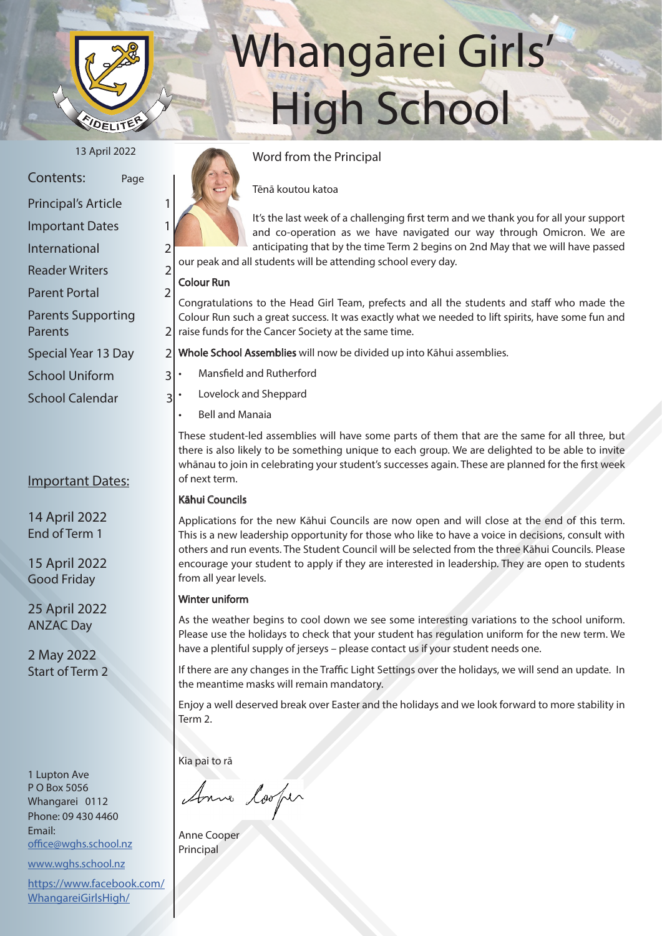

# Whangārei Girls' High School

| Contents:                  | Page |                |
|----------------------------|------|----------------|
| <b>Principal's Article</b> |      |                |
| <b>Important Dates</b>     |      |                |
| International              |      | 2              |
| <b>Reader Writers</b>      |      | $\overline{2}$ |
| <b>Parent Portal</b>       |      | $\overline{2}$ |
| <b>Parents Supporting</b>  |      |                |
| Parents                    |      |                |

Special Year 13 Day 2

School Uniform 3

School Calendar 3

#### Important Dates:

14 April 2022 End of Term 1

15 April 2022 Good Friday

25 April 2022 ANZAC Day

2 May 2022 Start of Term 2

1 Lupton Ave P O Box 5056 Whangarei 0112 Phone: 09 430 4460 Email: office@wghs.school.nz

www.wghs.school.nz

https://www.facebook.com/ WhangareiGirlsHigh/



# Tēnā koutou katoa

It's the last week of a challenging first term and we thank you for all your support and co-operation as we have navigated our way through Omicron. We are anticipating that by the time Term 2 begins on 2nd May that we will have passed our peak and all students will be attending school every day.

#### Colour Run

Congratulations to the Head Girl Team, prefects and all the students and staff who made the Colour Run such a great success. It was exactly what we needed to lift spirits, have some fun and raise funds for the Cancer Society at the same time.

Whole School Assemblies will now be divided up into Kāhui assemblies.

- Mansfield and Rutherford
- Lovelock and Sheppard
- Bell and Manaia

These student-led assemblies will have some parts of them that are the same for all three, but there is also likely to be something unique to each group. We are delighted to be able to invite whānau to join in celebrating your student's successes again. These are planned for the first week of next term.

#### Kāhui Councils

Applications for the new Kāhui Councils are now open and will close at the end of this term. This is a new leadership opportunity for those who like to have a voice in decisions, consult with others and run events. The Student Council will be selected from the three Kāhui Councils. Please encourage your student to apply if they are interested in leadership. They are open to students from all year levels.

#### Winter uniform

As the weather begins to cool down we see some interesting variations to the school uniform. Please use the holidays to check that your student has regulation uniform for the new term. We have a plentiful supply of jerseys – please contact us if your student needs one.

If there are any changes in the Traffic Light Settings over the holidays, we will send an update. In the meantime masks will remain mandatory.

Enjoy a well deserved break over Easter and the holidays and we look forward to more stability in Term 2.

Kia pai to rā

Anna looper

Anne Cooper Principal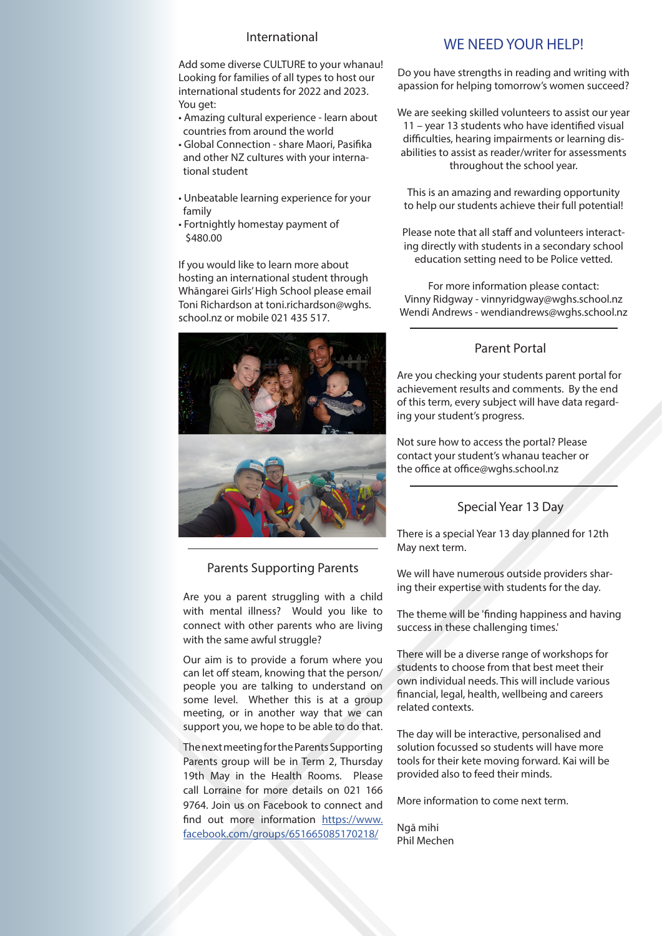#### International

Add some diverse CULTURE to your whanau! Looking for families of all types to host our international students for 2022 and 2023. You get:

- Amazing cultural experience learn about countries from around the world
- Global Connection share Maori, Pasifika and other NZ cultures with your interna tional student
- Unbeatable learning experience for your family
- Fortnightly homestay payment of \$480.00

If you would like to learn more about hosting an international student through Whāngarei Girls' High School please email Toni Richardson at toni.richardson@wghs. school.nz or mobile 021 435 517.



#### Parents Supporting Parents

Are you a parent struggling with a child with mental illness? Would you like to connect with other parents who are living with the same awful struggle?

Our aim is to provide a forum where you can let off steam, knowing that the person/ people you are talking to understand on some level. Whether this is at a group meeting, or in another way that we can support you, we hope to be able to do that.

The next meeting for the Parents Supporting Parents group will be in Term 2, Thursday 19th May in the Health Rooms. Please call Lorraine for more details on 021 166 9764. Join us on Facebook to connect and find out more information https://www. facebook.com/groups/651665085170218/

### WE NEED YOUR HELP!

Do you have strengths in reading and writing with apassion for helping tomorrow's women succeed?

We are seeking skilled volunteers to assist our year 11 – year 13 students who have identified visual difficulties, hearing impairments or learning disabilities to assist as reader/writer for assessments throughout the school year.

This is an amazing and rewarding opportunity to help our students achieve their full potential!

Please note that all staff and volunteers interacting directly with students in a secondary school education setting need to be Police vetted.

For more information please contact: Vinny Ridgway - vinnyridgway@wghs.school.nz Wendi Andrews - wendiandrews@wghs.school.nz

#### Parent Portal

Are you checking your students parent portal for achievement results and comments. By the end of this term, every subject will have data regarding your student's progress.

Not sure how to access the portal? Please contact your student's whanau teacher or the office at office@wghs.school.nz

#### Special Year 13 Day

There is a special Year 13 day planned for 12th May next term.

We will have numerous outside providers sharing their expertise with students for the day.

The theme will be 'finding happiness and having success in these challenging times.'

There will be a diverse range of workshops for students to choose from that best meet their own individual needs. This will include various financial, legal, health, wellbeing and careers related contexts.

The day will be interactive, personalised and solution focussed so students will have more tools for their kete moving forward. Kai will be provided also to feed their minds.

More information to come next term.

Ngā mihi Phil Mechen